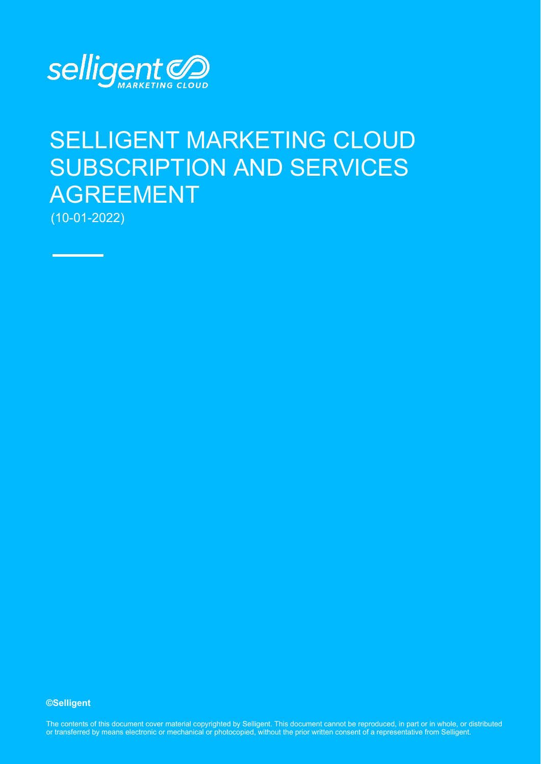

# SELLIGENT MARKETING CLOUD SUBSCRIPTION AND SERVICES AGREEMENT

(10-01-2022)

**©Selligent** 

The contents of this document cover material copyrighted by Selligent. This document cannot be reproduced, in part or in whole, or distributed or transferred by means electronic or mechanical or photocopied, without the prior written consent of a representative from Selligent.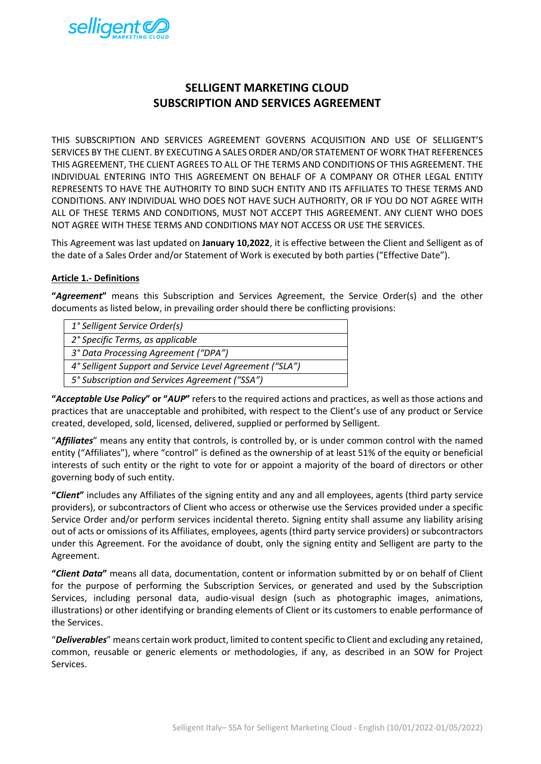

# **SELLIGENT MARKETING CLOUD SUBSCRIPTION AND SERVICES AGREEMENT**

THIS SUBSCRIPTION AND SERVICES AGREEMENT GOVERNS ACQUISITION AND USE OF SELLIGENT'S SERVICES BY THE CLIENT. BY EXECUTING A SALES ORDER AND/OR STATEMENT OF WORK THAT REFERENCES THIS AGREEMENT, THE CLIENT AGREES TO ALL OF THE TERMS AND CONDITIONS OF THIS AGREEMENT. THE INDIVIDUAL ENTERING INTO THIS AGREEMENT ON BEHALF OF A COMPANY OR OTHER LEGAL ENTITY REPRESENTS TO HAVE THE AUTHORITY TO BIND SUCH ENTITY AND ITS AFFILIATES TO THESE TERMS AND CONDITIONS. ANY INDIVIDUAL WHO DOES NOT HAVE SUCH AUTHORITY, OR IF YOU DO NOT AGREE WITH ALL OF THESE TERMS AND CONDITIONS, MUST NOT ACCEPT THIS AGREEMENT. ANY CLIENT WHO DOES NOT AGREE WITH THESE TERMS AND CONDITIONS MAY NOT ACCESS OR USE THE SERVICES.

This Agreement was last updated on **January 10,2022**, it is effective between the Client and Selligent as of the date of a Sales Order and/or Statement of Work is executed by both parties ("Effective Date").

#### **Article 1.- Definitions**

**"***Agreement***"** means this Subscription and Services Agreement, the Service Order(s) and the other documents as listed below, in prevailing order should there be conflicting provisions:

| 1° Selligent Service Order(s)                            |
|----------------------------------------------------------|
| 2° Specific Terms, as applicable                         |
| 3° Data Processing Agreement ("DPA")                     |
| 4° Selligent Support and Service Level Agreement ("SLA") |
| 5° Subscription and Services Agreement ("SSA")           |

**"***Acceptable Use Policy***" or "***AUP***"** refers to the required actions and practices, as well as those actions and practices that are unacceptable and prohibited, with respect to the Client's use of any product or Service created, developed, sold, licensed, delivered, supplied or performed by Selligent.

"*Affiliates*" means any entity that controls, is controlled by, or is under common control with the named entity ("Affiliates"), where "control" is defined as the ownership of at least 51% of the equity or beneficial interests of such entity or the right to vote for or appoint a majority of the board of directors or other governing body of such entity.

**"***Client***"** includes any Affiliates of the signing entity and any and all employees, agents (third party service providers), or subcontractors of Client who access or otherwise use the Services provided under a specific Service Order and/or perform services incidental thereto. Signing entity shall assume any liability arising out of acts or omissions of its Affiliates, employees, agents (third party service providers) or subcontractors under this Agreement. For the avoidance of doubt, only the signing entity and Selligent are party to the Agreement.

**"***Client Data***"** means all data, documentation, content or information submitted by or on behalf of Client for the purpose of performing the Subscription Services, or generated and used by the Subscription Services, including personal data, audio-visual design (such as photographic images, animations, illustrations) or other identifying or branding elements of Client or its customers to enable performance of the Services.

"*Deliverables*" means certain work product, limited to content specific to Client and excluding any retained, common, reusable or generic elements or methodologies, if any, as described in an SOW for Project Services.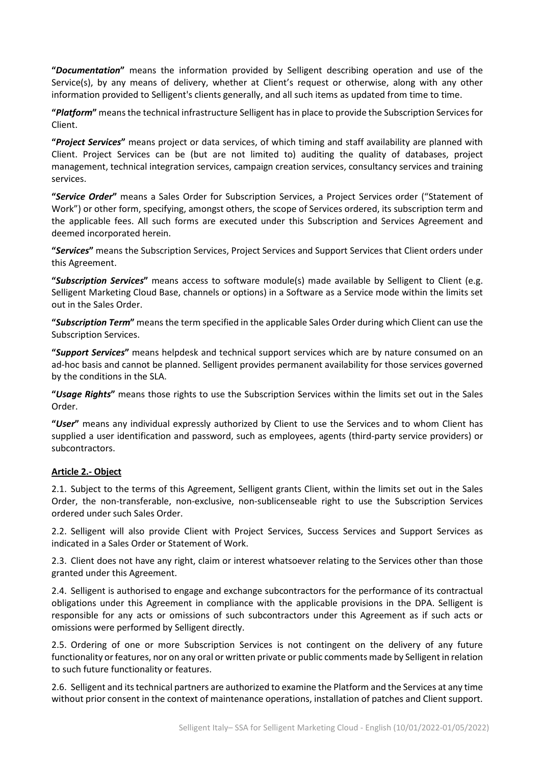**"***Documentation***"** means the information provided by Selligent describing operation and use of the Service(s), by any means of delivery, whether at Client's request or otherwise, along with any other information provided to Selligent's clients generally, and all such items as updated from time to time.

**"***Platform***"** means the technical infrastructure Selligent has in place to provide the Subscription Services for Client.

**"***Project Services***"** means project or data services, of which timing and staff availability are planned with Client. Project Services can be (but are not limited to) auditing the quality of databases, project management, technical integration services, campaign creation services, consultancy services and training services.

**"***Service Order***"** means a Sales Order for Subscription Services, a Project Services order ("Statement of Work") or other form, specifying, amongst others, the scope of Services ordered, its subscription term and the applicable fees. All such forms are executed under this Subscription and Services Agreement and deemed incorporated herein.

**"***Services***"** means the Subscription Services, Project Services and Support Services that Client orders under this Agreement.

**"***Subscription Services***"** means access to software module(s) made available by Selligent to Client (e.g. Selligent Marketing Cloud Base, channels or options) in a Software as a Service mode within the limits set out in the Sales Order.

**"***Subscription Term***"** means the term specified in the applicable Sales Order during which Client can use the Subscription Services.

**"***Support Services***"** means helpdesk and technical support services which are by nature consumed on an ad-hoc basis and cannot be planned. Selligent provides permanent availability for those services governed by the conditions in the SLA.

**"***Usage Rights***"** means those rights to use the Subscription Services within the limits set out in the Sales Order.

**"***User***"** means any individual expressly authorized by Client to use the Services and to whom Client has supplied a user identification and password, such as employees, agents (third-party service providers) or subcontractors.

# **Article 2.- Object**

2.1. Subject to the terms of this Agreement, Selligent grants Client, within the limits set out in the Sales Order, the non-transferable, non-exclusive, non-sublicenseable right to use the Subscription Services ordered under such Sales Order.

2.2. Selligent will also provide Client with Project Services, Success Services and Support Services as indicated in a Sales Order or Statement of Work.

2.3. Client does not have any right, claim or interest whatsoever relating to the Services other than those granted under this Agreement.

2.4. Selligent is authorised to engage and exchange subcontractors for the performance of its contractual obligations under this Agreement in compliance with the applicable provisions in the DPA. Selligent is responsible for any acts or omissions of such subcontractors under this Agreement as if such acts or omissions were performed by Selligent directly.

2.5. Ordering of one or more Subscription Services is not contingent on the delivery of any future functionality or features, nor on any oral or written private or public comments made by Selligent in relation to such future functionality or features.

2.6. Selligent and its technical partners are authorized to examine the Platform and the Services at any time without prior consent in the context of maintenance operations, installation of patches and Client support.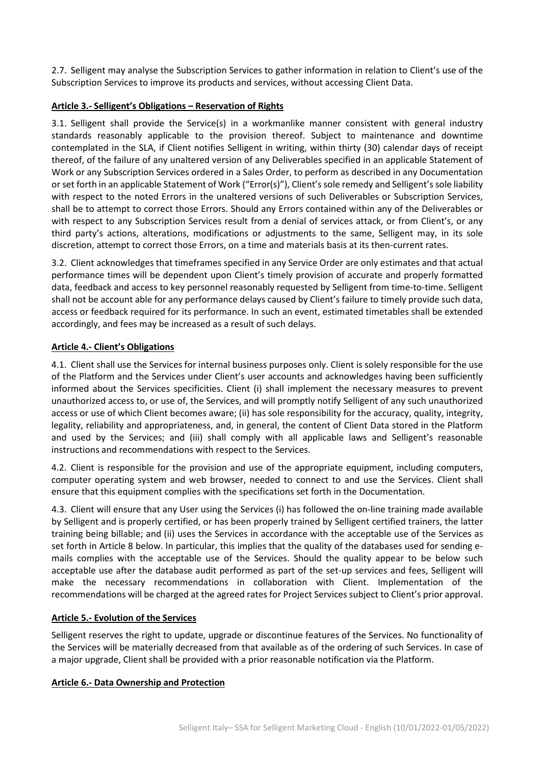2.7. Selligent may analyse the Subscription Services to gather information in relation to Client's use of the Subscription Services to improve its products and services, without accessing Client Data.

#### **Article 3.- Selligent's Obligations – Reservation of Rights**

3.1. Selligent shall provide the Service(s) in a workmanlike manner consistent with general industry standards reasonably applicable to the provision thereof. Subject to maintenance and downtime contemplated in the SLA, if Client notifies Selligent in writing, within thirty (30) calendar days of receipt thereof, of the failure of any unaltered version of any Deliverables specified in an applicable Statement of Work or any Subscription Services ordered in a Sales Order, to perform as described in any Documentation or set forth in an applicable Statement of Work ("Error(s)"), Client's sole remedy and Selligent's sole liability with respect to the noted Errors in the unaltered versions of such Deliverables or Subscription Services, shall be to attempt to correct those Errors. Should any Errors contained within any of the Deliverables or with respect to any Subscription Services result from a denial of services attack, or from Client's, or any third party's actions, alterations, modifications or adjustments to the same, Selligent may, in its sole discretion, attempt to correct those Errors, on a time and materials basis at its then-current rates.

3.2. Client acknowledges that timeframes specified in any Service Order are only estimates and that actual performance times will be dependent upon Client's timely provision of accurate and properly formatted data, feedback and access to key personnel reasonably requested by Selligent from time-to-time. Selligent shall not be account able for any performance delays caused by Client's failure to timely provide such data, access or feedback required for its performance. In such an event, estimated timetables shall be extended accordingly, and fees may be increased as a result of such delays.

# **Article 4.- Client's Obligations**

4.1. Client shall use the Services for internal business purposes only. Client is solely responsible for the use of the Platform and the Services under Client's user accounts and acknowledges having been sufficiently informed about the Services specificities. Client (i) shall implement the necessary measures to prevent unauthorized access to, or use of, the Services, and will promptly notify Selligent of any such unauthorized access or use of which Client becomes aware; (ii) has sole responsibility for the accuracy, quality, integrity, legality, reliability and appropriateness, and, in general, the content of Client Data stored in the Platform and used by the Services; and (iii) shall comply with all applicable laws and Selligent's reasonable instructions and recommendations with respect to the Services.

4.2. Client is responsible for the provision and use of the appropriate equipment, including computers, computer operating system and web browser, needed to connect to and use the Services. Client shall ensure that this equipment complies with the specifications set forth in the Documentation.

4.3. Client will ensure that any User using the Services (i) has followed the on-line training made available by Selligent and is properly certified, or has been properly trained by Selligent certified trainers, the latter training being billable; and (ii) uses the Services in accordance with the acceptable use of the Services as set forth in Article 8 below. In particular, this implies that the quality of the databases used for sending emails complies with the acceptable use of the Services. Should the quality appear to be below such acceptable use after the database audit performed as part of the set-up services and fees, Selligent will make the necessary recommendations in collaboration with Client. Implementation of the recommendations will be charged at the agreed rates for Project Services subject to Client's prior approval.

# **Article 5.- Evolution of the Services**

Selligent reserves the right to update, upgrade or discontinue features of the Services. No functionality of the Services will be materially decreased from that available as of the ordering of such Services. In case of a major upgrade, Client shall be provided with a prior reasonable notification via the Platform.

# **Article 6.- Data Ownership and Protection**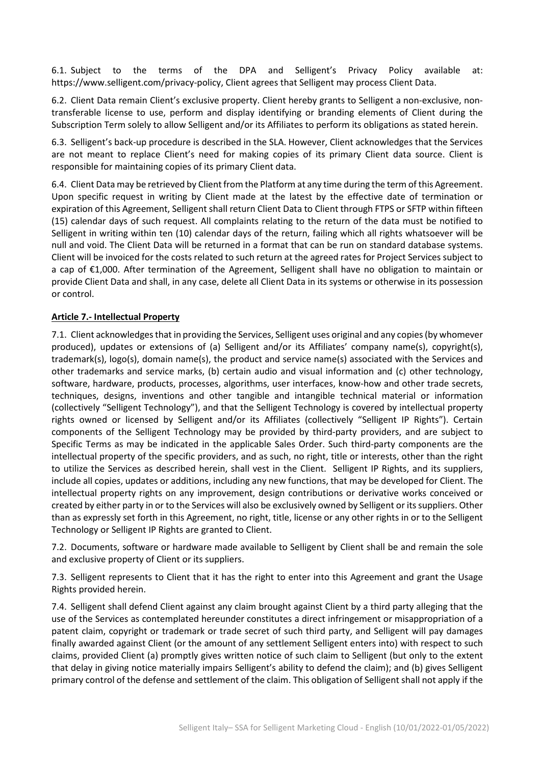6.1. Subject to the terms of the DPA and Selligent's Privacy Policy available at: https://www.selligent.com/privacy-policy, Client agrees that Selligent may process Client Data.

6.2. Client Data remain Client's exclusive property. Client hereby grants to Selligent a non-exclusive, nontransferable license to use, perform and display identifying or branding elements of Client during the Subscription Term solely to allow Selligent and/or its Affiliates to perform its obligations as stated herein.

6.3. Selligent's back-up procedure is described in the SLA. However, Client acknowledges that the Services are not meant to replace Client's need for making copies of its primary Client data source. Client is responsible for maintaining copies of its primary Client data.

6.4. Client Data may be retrieved by Client from the Platform at any time during the term of this Agreement. Upon specific request in writing by Client made at the latest by the effective date of termination or expiration of this Agreement, Selligent shall return Client Data to Client through FTPS or SFTP within fifteen (15) calendar days of such request. All complaints relating to the return of the data must be notified to Selligent in writing within ten (10) calendar days of the return, failing which all rights whatsoever will be null and void. The Client Data will be returned in a format that can be run on standard database systems. Client will be invoiced for the costs related to such return at the agreed rates for Project Services subject to a cap of €1,000. After termination of the Agreement, Selligent shall have no obligation to maintain or provide Client Data and shall, in any case, delete all Client Data in its systems or otherwise in its possession or control.

#### **Article 7.- Intellectual Property**

7.1. Client acknowledges that in providing the Services, Selligent uses original and any copies (by whomever produced), updates or extensions of (a) Selligent and/or its Affiliates' company name(s), copyright(s), trademark(s), logo(s), domain name(s), the product and service name(s) associated with the Services and other trademarks and service marks, (b) certain audio and visual information and (c) other technology, software, hardware, products, processes, algorithms, user interfaces, know-how and other trade secrets, techniques, designs, inventions and other tangible and intangible technical material or information (collectively "Selligent Technology"), and that the Selligent Technology is covered by intellectual property rights owned or licensed by Selligent and/or its Affiliates (collectively "Selligent IP Rights"). Certain components of the Selligent Technology may be provided by third-party providers, and are subject to Specific Terms as may be indicated in the applicable Sales Order. Such third-party components are the intellectual property of the specific providers, and as such, no right, title or interests, other than the right to utilize the Services as described herein, shall vest in the Client. Selligent IP Rights, and its suppliers, include all copies, updates or additions, including any new functions, that may be developed for Client. The intellectual property rights on any improvement, design contributions or derivative works conceived or created by either party in or to the Services will also be exclusively owned by Selligent or its suppliers. Other than as expressly set forth in this Agreement, no right, title, license or any other rights in or to the Selligent Technology or Selligent IP Rights are granted to Client.

7.2. Documents, software or hardware made available to Selligent by Client shall be and remain the sole and exclusive property of Client or its suppliers.

7.3. Selligent represents to Client that it has the right to enter into this Agreement and grant the Usage Rights provided herein.

7.4. Selligent shall defend Client against any claim brought against Client by a third party alleging that the use of the Services as contemplated hereunder constitutes a direct infringement or misappropriation of a patent claim, copyright or trademark or trade secret of such third party, and Selligent will pay damages finally awarded against Client (or the amount of any settlement Selligent enters into) with respect to such claims, provided Client (a) promptly gives written notice of such claim to Selligent (but only to the extent that delay in giving notice materially impairs Selligent's ability to defend the claim); and (b) gives Selligent primary control of the defense and settlement of the claim. This obligation of Selligent shall not apply if the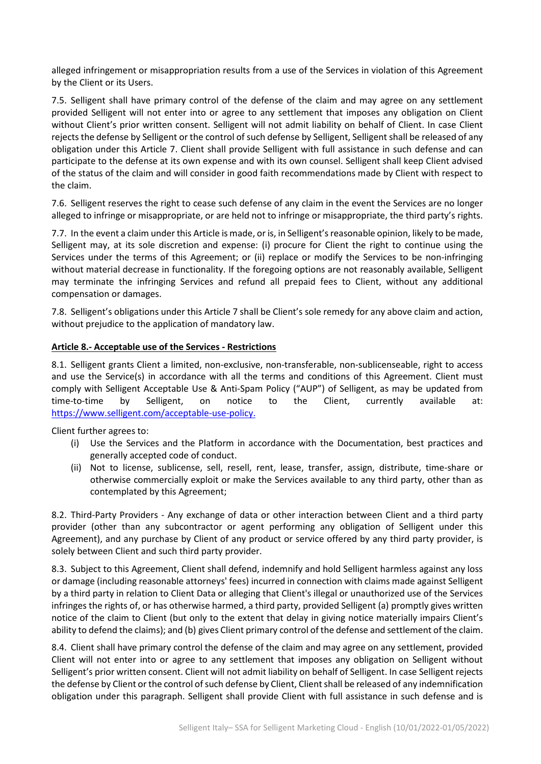alleged infringement or misappropriation results from a use of the Services in violation of this Agreement by the Client or its Users.

7.5. Selligent shall have primary control of the defense of the claim and may agree on any settlement provided Selligent will not enter into or agree to any settlement that imposes any obligation on Client without Client's prior written consent. Selligent will not admit liability on behalf of Client. In case Client rejects the defense by Selligent or the control of such defense by Selligent, Selligent shall be released of any obligation under this Article 7. Client shall provide Selligent with full assistance in such defense and can participate to the defense at its own expense and with its own counsel. Selligent shall keep Client advised of the status of the claim and will consider in good faith recommendations made by Client with respect to the claim.

7.6. Selligent reserves the right to cease such defense of any claim in the event the Services are no longer alleged to infringe or misappropriate, or are held not to infringe or misappropriate, the third party's rights.

7.7. In the event a claim under this Article is made, or is, in Selligent's reasonable opinion, likely to be made, Selligent may, at its sole discretion and expense: (i) procure for Client the right to continue using the Services under the terms of this Agreement; or (ii) replace or modify the Services to be non-infringing without material decrease in functionality. If the foregoing options are not reasonably available, Selligent may terminate the infringing Services and refund all prepaid fees to Client, without any additional compensation or damages.

7.8. Selligent's obligations under this Article 7 shall be Client's sole remedy for any above claim and action, without prejudice to the application of mandatory law.

#### **Article 8.- Acceptable use of the Services - Restrictions**

8.1. Selligent grants Client a limited, non-exclusive, non-transferable, non-sublicenseable, right to access and use the Service(s) in accordance with all the terms and conditions of this Agreement. Client must comply with Selligent Acceptable Use & Anti-Spam Policy ("AUP") of Selligent, as may be updated from time-to-time by Selligent, on notice to the Client, currently available at: [https://www.selligent.com/acceptable-use-policy.](https://www.selligent.com/acceptable-use-policy)

Client further agrees to:

- (i) Use the Services and the Platform in accordance with the Documentation, best practices and generally accepted code of conduct.
- (ii) Not to license, sublicense, sell, resell, rent, lease, transfer, assign, distribute, time-share or otherwise commercially exploit or make the Services available to any third party, other than as contemplated by this Agreement;

8.2. Third-Party Providers - Any exchange of data or other interaction between Client and a third party provider (other than any subcontractor or agent performing any obligation of Selligent under this Agreement), and any purchase by Client of any product or service offered by any third party provider, is solely between Client and such third party provider.

8.3. Subject to this Agreement, Client shall defend, indemnify and hold Selligent harmless against any loss or damage (including reasonable attorneys' fees) incurred in connection with claims made against Selligent by a third party in relation to Client Data or alleging that Client's illegal or unauthorized use of the Services infringes the rights of, or has otherwise harmed, a third party, provided Selligent (a) promptly gives written notice of the claim to Client (but only to the extent that delay in giving notice materially impairs Client's ability to defend the claims); and (b) gives Client primary control of the defense and settlement of the claim.

8.4. Client shall have primary control the defense of the claim and may agree on any settlement, provided Client will not enter into or agree to any settlement that imposes any obligation on Selligent without Selligent's prior written consent. Client will not admit liability on behalf of Selligent. In case Selligent rejects the defense by Client or the control of such defense by Client, Client shall be released of any indemnification obligation under this paragraph. Selligent shall provide Client with full assistance in such defense and is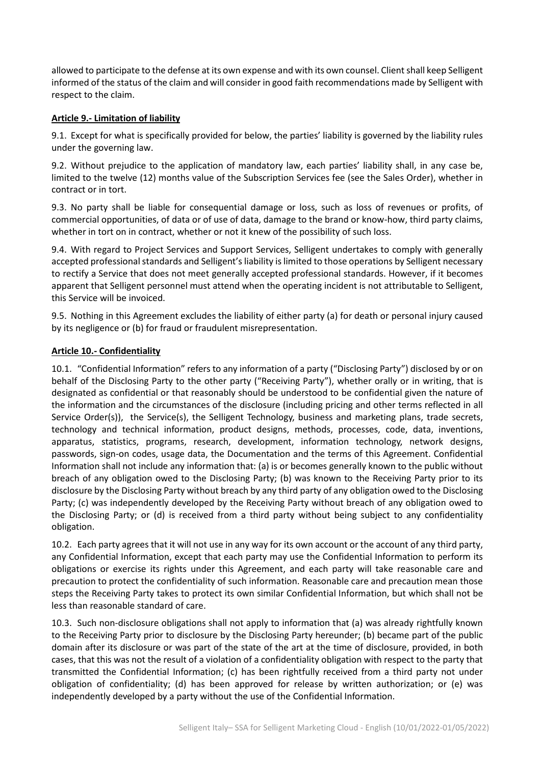allowed to participate to the defense at its own expense and with its own counsel. Client shall keep Selligent informed of the status of the claim and will consider in good faith recommendations made by Selligent with respect to the claim.

# **Article 9.- Limitation of liability**

9.1. Except for what is specifically provided for below, the parties' liability is governed by the liability rules under the governing law.

9.2. Without prejudice to the application of mandatory law, each parties' liability shall, in any case be, limited to the twelve (12) months value of the Subscription Services fee (see the Sales Order), whether in contract or in tort.

9.3. No party shall be liable for consequential damage or loss, such as loss of revenues or profits, of commercial opportunities, of data or of use of data, damage to the brand or know-how, third party claims, whether in tort on in contract, whether or not it knew of the possibility of such loss.

9.4. With regard to Project Services and Support Services, Selligent undertakes to comply with generally accepted professional standards and Selligent's liability is limited to those operations by Selligent necessary to rectify a Service that does not meet generally accepted professional standards. However, if it becomes apparent that Selligent personnel must attend when the operating incident is not attributable to Selligent, this Service will be invoiced.

9.5. Nothing in this Agreement excludes the liability of either party (a) for death or personal injury caused by its negligence or (b) for fraud or fraudulent misrepresentation.

# **Article 10.- Confidentiality**

10.1. "Confidential Information" refers to any information of a party ("Disclosing Party") disclosed by or on behalf of the Disclosing Party to the other party ("Receiving Party"), whether orally or in writing, that is designated as confidential or that reasonably should be understood to be confidential given the nature of the information and the circumstances of the disclosure (including pricing and other terms reflected in all Service Order(s)), the Service(s), the Selligent Technology, business and marketing plans, trade secrets, technology and technical information, product designs, methods, processes, code, data, inventions, apparatus, statistics, programs, research, development, information technology, network designs, passwords, sign-on codes, usage data, the Documentation and the terms of this Agreement. Confidential Information shall not include any information that: (a) is or becomes generally known to the public without breach of any obligation owed to the Disclosing Party; (b) was known to the Receiving Party prior to its disclosure by the Disclosing Party without breach by any third party of any obligation owed to the Disclosing Party; (c) was independently developed by the Receiving Party without breach of any obligation owed to the Disclosing Party; or (d) is received from a third party without being subject to any confidentiality obligation.

10.2. Each party agrees that it will not use in any way for its own account or the account of any third party, any Confidential Information, except that each party may use the Confidential Information to perform its obligations or exercise its rights under this Agreement, and each party will take reasonable care and precaution to protect the confidentiality of such information. Reasonable care and precaution mean those steps the Receiving Party takes to protect its own similar Confidential Information, but which shall not be less than reasonable standard of care.

10.3. Such non-disclosure obligations shall not apply to information that (a) was already rightfully known to the Receiving Party prior to disclosure by the Disclosing Party hereunder; (b) became part of the public domain after its disclosure or was part of the state of the art at the time of disclosure, provided, in both cases, that this was not the result of a violation of a confidentiality obligation with respect to the party that transmitted the Confidential Information; (c) has been rightfully received from a third party not under obligation of confidentiality; (d) has been approved for release by written authorization; or (e) was independently developed by a party without the use of the Confidential Information.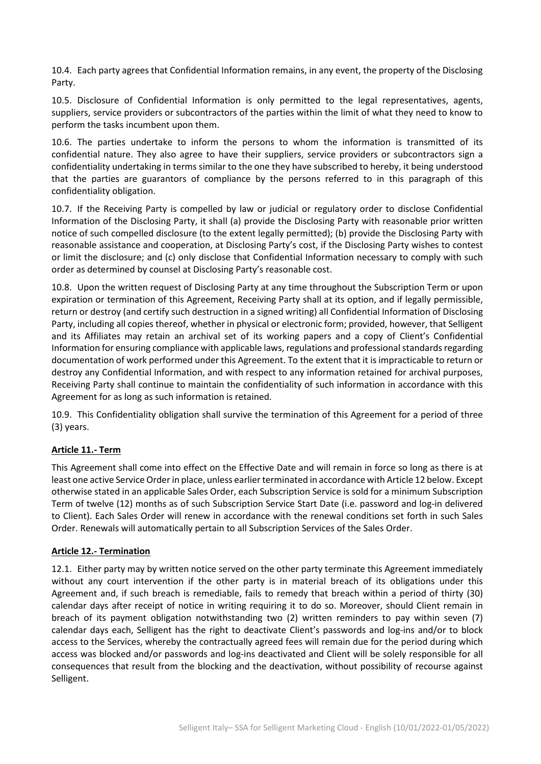10.4. Each party agrees that Confidential Information remains, in any event, the property of the Disclosing Party.

10.5. Disclosure of Confidential Information is only permitted to the legal representatives, agents, suppliers, service providers or subcontractors of the parties within the limit of what they need to know to perform the tasks incumbent upon them.

10.6. The parties undertake to inform the persons to whom the information is transmitted of its confidential nature. They also agree to have their suppliers, service providers or subcontractors sign a confidentiality undertaking in terms similar to the one they have subscribed to hereby, it being understood that the parties are guarantors of compliance by the persons referred to in this paragraph of this confidentiality obligation.

10.7. If the Receiving Party is compelled by law or judicial or regulatory order to disclose Confidential Information of the Disclosing Party, it shall (a) provide the Disclosing Party with reasonable prior written notice of such compelled disclosure (to the extent legally permitted); (b) provide the Disclosing Party with reasonable assistance and cooperation, at Disclosing Party's cost, if the Disclosing Party wishes to contest or limit the disclosure; and (c) only disclose that Confidential Information necessary to comply with such order as determined by counsel at Disclosing Party's reasonable cost.

10.8. Upon the written request of Disclosing Party at any time throughout the Subscription Term or upon expiration or termination of this Agreement, Receiving Party shall at its option, and if legally permissible, return or destroy (and certify such destruction in a signed writing) all Confidential Information of Disclosing Party, including all copies thereof, whether in physical or electronic form; provided, however, that Selligent and its Affiliates may retain an archival set of its working papers and a copy of Client's Confidential Information for ensuring compliance with applicable laws, regulations and professional standards regarding documentation of work performed under this Agreement. To the extent that it is impracticable to return or destroy any Confidential Information, and with respect to any information retained for archival purposes, Receiving Party shall continue to maintain the confidentiality of such information in accordance with this Agreement for as long as such information is retained.

10.9. This Confidentiality obligation shall survive the termination of this Agreement for a period of three (3) years.

# **Article 11.- Term**

This Agreement shall come into effect on the Effective Date and will remain in force so long as there is at least one active Service Order in place, unless earlier terminated in accordance with Article 12 below. Except otherwise stated in an applicable Sales Order, each Subscription Service is sold for a minimum Subscription Term of twelve (12) months as of such Subscription Service Start Date (i.e. password and log-in delivered to Client). Each Sales Order will renew in accordance with the renewal conditions set forth in such Sales Order. Renewals will automatically pertain to all Subscription Services of the Sales Order.

# **Article 12.- Termination**

12.1. Either party may by written notice served on the other party terminate this Agreement immediately without any court intervention if the other party is in material breach of its obligations under this Agreement and, if such breach is remediable, fails to remedy that breach within a period of thirty (30) calendar days after receipt of notice in writing requiring it to do so. Moreover, should Client remain in breach of its payment obligation notwithstanding two (2) written reminders to pay within seven (7) calendar days each, Selligent has the right to deactivate Client's passwords and log-ins and/or to block access to the Services, whereby the contractually agreed fees will remain due for the period during which access was blocked and/or passwords and log-ins deactivated and Client will be solely responsible for all consequences that result from the blocking and the deactivation, without possibility of recourse against Selligent.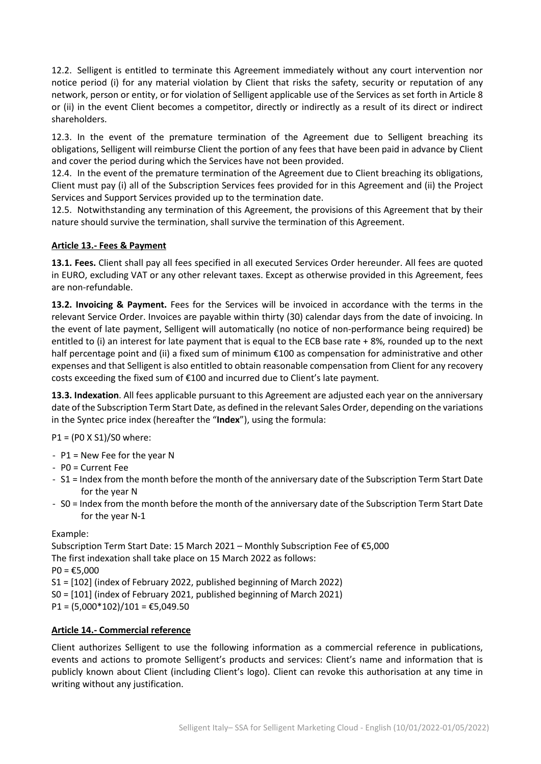12.2. Selligent is entitled to terminate this Agreement immediately without any court intervention nor notice period (i) for any material violation by Client that risks the safety, security or reputation of any network, person or entity, or for violation of Selligent applicable use of the Services as set forth in Article 8 or (ii) in the event Client becomes a competitor, directly or indirectly as a result of its direct or indirect shareholders.

12.3. In the event of the premature termination of the Agreement due to Selligent breaching its obligations, Selligent will reimburse Client the portion of any fees that have been paid in advance by Client and cover the period during which the Services have not been provided.

12.4. In the event of the premature termination of the Agreement due to Client breaching its obligations, Client must pay (i) all of the Subscription Services fees provided for in this Agreement and (ii) the Project Services and Support Services provided up to the termination date.

12.5. Notwithstanding any termination of this Agreement, the provisions of this Agreement that by their nature should survive the termination, shall survive the termination of this Agreement.

# **Article 13.- Fees & Payment**

**13.1. Fees.** Client shall pay all fees specified in all executed Services Order hereunder. All fees are quoted in EURO, excluding VAT or any other relevant taxes. Except as otherwise provided in this Agreement, fees are non-refundable.

**13.2. Invoicing & Payment.** Fees for the Services will be invoiced in accordance with the terms in the relevant Service Order. Invoices are payable within thirty (30) calendar days from the date of invoicing. In the event of late payment, Selligent will automatically (no notice of non-performance being required) be entitled to (i) an interest for late payment that is equal to the ECB base rate + 8%, rounded up to the next half percentage point and (ii) a fixed sum of minimum €100 as compensation for administrative and other expenses and that Selligent is also entitled to obtain reasonable compensation from Client for any recovery costs exceeding the fixed sum of €100 and incurred due to Client's late payment.

**13.3. Indexation**. All fees applicable pursuant to this Agreement are adjusted each year on the anniversary date of the Subscription Term Start Date, as defined in the relevant Sales Order, depending on the variations in the Syntec price index (hereafter the "**Index**"), using the formula:

P1 = (P0 X S1)/S0 where:

- P1 = New Fee for the year N
- P0 = Current Fee
- S1 = Index from the month before the month of the anniversary date of the Subscription Term Start Date for the year N
- S0 = Index from the month before the month of the anniversary date of the Subscription Term Start Date for the year N-1

# Example:

Subscription Term Start Date: 15 March 2021 – Monthly Subscription Fee of €5,000 The first indexation shall take place on 15 March 2022 as follows:  $PO = £5,000$ S1 = [102] (index of February 2022, published beginning of March 2022) S0 = [101] (index of February 2021, published beginning of March 2021)  $P1 = (5,000*102)/101 = \text{\textsterling}5,049.50$ 

# **Article 14.- Commercial reference**

Client authorizes Selligent to use the following information as a commercial reference in publications, events and actions to promote Selligent's products and services: Client's name and information that is publicly known about Client (including Client's logo). Client can revoke this authorisation at any time in writing without any justification.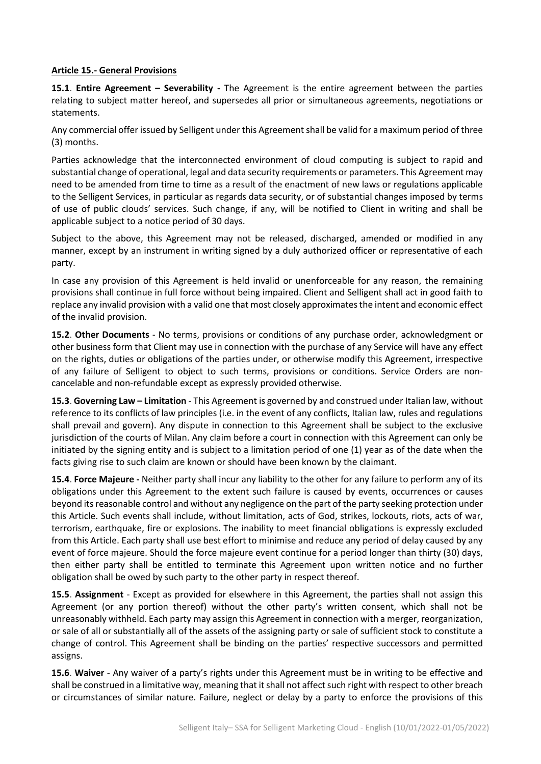#### **Article 15.- General Provisions**

**15.1**. **Entire Agreement – Severability -** The Agreement is the entire agreement between the parties relating to subject matter hereof, and supersedes all prior or simultaneous agreements, negotiations or statements.

Any commercial offer issued by Selligent under this Agreement shall be valid for a maximum period of three (3) months.

Parties acknowledge that the interconnected environment of cloud computing is subject to rapid and substantial change of operational, legal and data security requirements or parameters. This Agreement may need to be amended from time to time as a result of the enactment of new laws or regulations applicable to the Selligent Services, in particular as regards data security, or of substantial changes imposed by terms of use of public clouds' services. Such change, if any, will be notified to Client in writing and shall be applicable subject to a notice period of 30 days.

Subject to the above, this Agreement may not be released, discharged, amended or modified in any manner, except by an instrument in writing signed by a duly authorized officer or representative of each party.

In case any provision of this Agreement is held invalid or unenforceable for any reason, the remaining provisions shall continue in full force without being impaired. Client and Selligent shall act in good faith to replace any invalid provision with a valid one that most closely approximates the intent and economic effect of the invalid provision.

**15.2**. **Other Documents** - No terms, provisions or conditions of any purchase order, acknowledgment or other business form that Client may use in connection with the purchase of any Service will have any effect on the rights, duties or obligations of the parties under, or otherwise modify this Agreement, irrespective of any failure of Selligent to object to such terms, provisions or conditions. Service Orders are noncancelable and non-refundable except as expressly provided otherwise.

**15.3**. **Governing Law – Limitation** - This Agreement is governed by and construed under Italian law, without reference to its conflicts of law principles (i.e. in the event of any conflicts, Italian law, rules and regulations shall prevail and govern). Any dispute in connection to this Agreement shall be subject to the exclusive jurisdiction of the courts of Milan. Any claim before a court in connection with this Agreement can only be initiated by the signing entity and is subject to a limitation period of one (1) year as of the date when the facts giving rise to such claim are known or should have been known by the claimant.

**15.4**. **Force Majeure -** Neither party shall incur any liability to the other for any failure to perform any of its obligations under this Agreement to the extent such failure is caused by events, occurrences or causes beyond its reasonable control and without any negligence on the part of the party seeking protection under this Article. Such events shall include, without limitation, acts of God, strikes, lockouts, riots, acts of war, terrorism, earthquake, fire or explosions. The inability to meet financial obligations is expressly excluded from this Article. Each party shall use best effort to minimise and reduce any period of delay caused by any event of force majeure. Should the force majeure event continue for a period longer than thirty (30) days, then either party shall be entitled to terminate this Agreement upon written notice and no further obligation shall be owed by such party to the other party in respect thereof.

**15.5**. **Assignment** - Except as provided for elsewhere in this Agreement, the parties shall not assign this Agreement (or any portion thereof) without the other party's written consent, which shall not be unreasonably withheld. Each party may assign this Agreement in connection with a merger, reorganization, or sale of all or substantially all of the assets of the assigning party or sale of sufficient stock to constitute a change of control. This Agreement shall be binding on the parties' respective successors and permitted assigns.

**15.6**. **Waiver** - Any waiver of a party's rights under this Agreement must be in writing to be effective and shall be construed in a limitative way, meaning that it shall not affect such right with respect to other breach or circumstances of similar nature. Failure, neglect or delay by a party to enforce the provisions of this